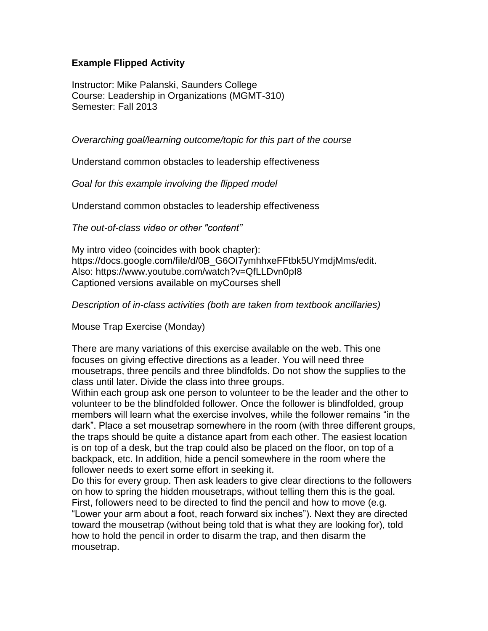## **Example Flipped Activity**

Instructor: Mike Palanski, Saunders College Course: Leadership in Organizations (MGMT-310) Semester: Fall 2013

*Overarching goal/learning outcome/topic for this part of the course*

Understand common obstacles to leadership effectiveness

*Goal for this example involving the flipped model*

Understand common obstacles to leadership effectiveness

*The out-of-class video or other "content"*

My intro video (coincides with book chapter): [https://docs.google.com/file/d/0B\\_G6OI7ymhhxeFFtbk5UYmdjMms/edit.](https://docs.google.com/file/d/0B_G6OI7ymhhxeFFtbk5UYmdjMms/edit) Also: <https://www.youtube.com/watch?v=QfLLDvn0pI8> Captioned versions available on myCourses shell

*Description of in-class activities (both are taken from textbook ancillaries)*

Mouse Trap Exercise (Monday)

There are many variations of this exercise available on the web. This one focuses on giving effective directions as a leader. You will need three mousetraps, three pencils and three blindfolds. Do not show the supplies to the class until later. Divide the class into three groups.

Within each group ask one person to volunteer to be the leader and the other to volunteer to be the blindfolded follower. Once the follower is blindfolded, group members will learn what the exercise involves, while the follower remains "in the dark". Place a set mousetrap somewhere in the room (with three different groups, the traps should be quite a distance apart from each other. The easiest location is on top of a desk, but the trap could also be placed on the floor, on top of a backpack, etc. In addition, hide a pencil somewhere in the room where the follower needs to exert some effort in seeking it.

Do this for every group. Then ask leaders to give clear directions to the followers on how to spring the hidden mousetraps, without telling them this is the goal. First, followers need to be directed to find the pencil and how to move (e.g. "Lower your arm about a foot, reach forward six inches"). Next they are directed toward the mousetrap (without being told that is what they are looking for), told how to hold the pencil in order to disarm the trap, and then disarm the mousetrap.